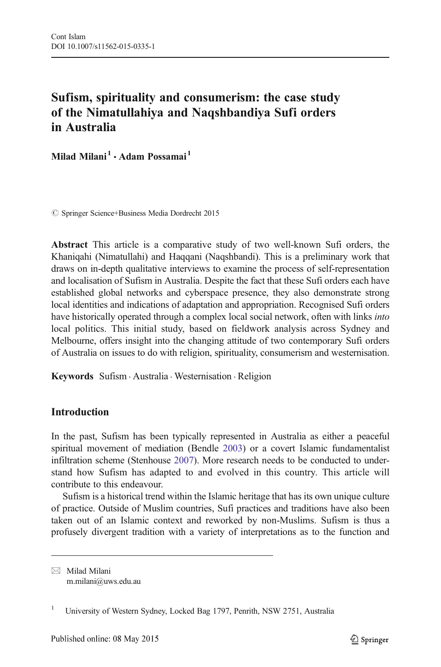# Sufism, spirituality and consumerism: the case study of the Nimatullahiya and Naqshbandiya Sufi orders in Australia

Milad Milani<sup>1</sup> . Adam Possamai<sup>1</sup>

 $\oslash$  Springer Science+Business Media Dordrecht 2015

Abstract This article is a comparative study of two well-known Sufi orders, the Khaniqahi (Nimatullahi) and Haqqani (Naqshbandi). This is a preliminary work that draws on in-depth qualitative interviews to examine the process of self-representation and localisation of Sufism in Australia. Despite the fact that these Sufi orders each have established global networks and cyberspace presence, they also demonstrate strong local identities and indications of adaptation and appropriation. Recognised Sufi orders have historically operated through a complex local social network, often with links into local politics. This initial study, based on fieldwork analysis across Sydney and Melbourne, offers insight into the changing attitude of two contemporary Sufi orders of Australia on issues to do with religion, spirituality, consumerism and westernisation.

Keywords Sufism . Australia . Westernisation . Religion

# Introduction

In the past, Sufism has been typically represented in Australia as either a peaceful spiritual movement of mediation (Bendle [2003\)](#page-17-0) or a covert Islamic fundamentalist infiltration scheme (Stenhouse [2007](#page-17-0)). More research needs to be conducted to understand how Sufism has adapted to and evolved in this country. This article will contribute to this endeavour.

Sufism is a historical trend within the Islamic heritage that has its own unique culture of practice. Outside of Muslim countries, Sufi practices and traditions have also been taken out of an Islamic context and reworked by non-Muslims. Sufism is thus a profusely divergent tradition with a variety of interpretations as to the function and

 $\boxtimes$  Milad Milani m.milani@uws.edu.au

<sup>&</sup>lt;sup>1</sup> University of Western Sydney, Locked Bag 1797, Penrith, NSW 2751, Australia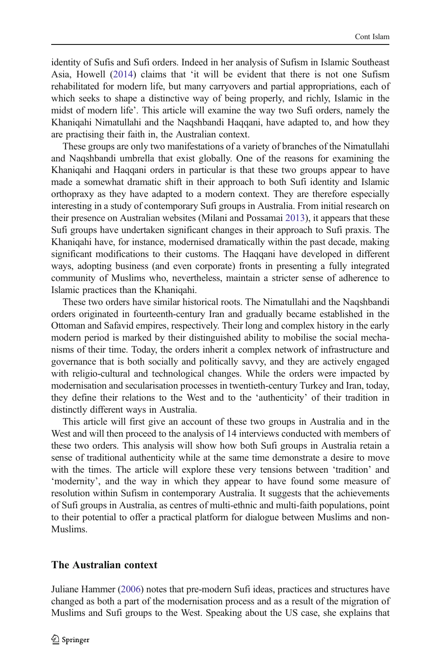identity of Sufis and Sufi orders. Indeed in her analysis of Sufism in Islamic Southeast Asia, Howell ([2014\)](#page-17-0) claims that 'it will be evident that there is not one Sufism rehabilitated for modern life, but many carryovers and partial appropriations, each of which seeks to shape a distinctive way of being properly, and richly, Islamic in the midst of modern life'. This article will examine the way two Sufi orders, namely the Khaniqahi Nimatullahi and the Naqshbandi Haqqani, have adapted to, and how they are practising their faith in, the Australian context.

These groups are only two manifestations of a variety of branches of the Nimatullahi and Naqshbandi umbrella that exist globally. One of the reasons for examining the Khaniqahi and Haqqani orders in particular is that these two groups appear to have made a somewhat dramatic shift in their approach to both Sufi identity and Islamic orthopraxy as they have adapted to a modern context. They are therefore especially interesting in a study of contemporary Sufi groups in Australia. From initial research on their presence on Australian websites (Milani and Possamai [2013](#page-17-0)), it appears that these Sufi groups have undertaken significant changes in their approach to Sufi praxis. The Khaniqahi have, for instance, modernised dramatically within the past decade, making significant modifications to their customs. The Haqqani have developed in different ways, adopting business (and even corporate) fronts in presenting a fully integrated community of Muslims who, nevertheless, maintain a stricter sense of adherence to Islamic practices than the Khaniqahi.

These two orders have similar historical roots. The Nimatullahi and the Naqshbandi orders originated in fourteenth-century Iran and gradually became established in the Ottoman and Safavid empires, respectively. Their long and complex history in the early modern period is marked by their distinguished ability to mobilise the social mechanisms of their time. Today, the orders inherit a complex network of infrastructure and governance that is both socially and politically savvy, and they are actively engaged with religio-cultural and technological changes. While the orders were impacted by modernisation and secularisation processes in twentieth-century Turkey and Iran, today, they define their relations to the West and to the 'authenticity' of their tradition in distinctly different ways in Australia.

This article will first give an account of these two groups in Australia and in the West and will then proceed to the analysis of 14 interviews conducted with members of these two orders. This analysis will show how both Sufi groups in Australia retain a sense of traditional authenticity while at the same time demonstrate a desire to move with the times. The article will explore these very tensions between 'tradition' and 'modernity', and the way in which they appear to have found some measure of resolution within Sufism in contemporary Australia. It suggests that the achievements of Sufi groups in Australia, as centres of multi-ethnic and multi-faith populations, point to their potential to offer a practical platform for dialogue between Muslims and non-Muslims.

#### The Australian context

Juliane Hammer ([2006](#page-17-0)) notes that pre-modern Sufi ideas, practices and structures have changed as both a part of the modernisation process and as a result of the migration of Muslims and Sufi groups to the West. Speaking about the US case, she explains that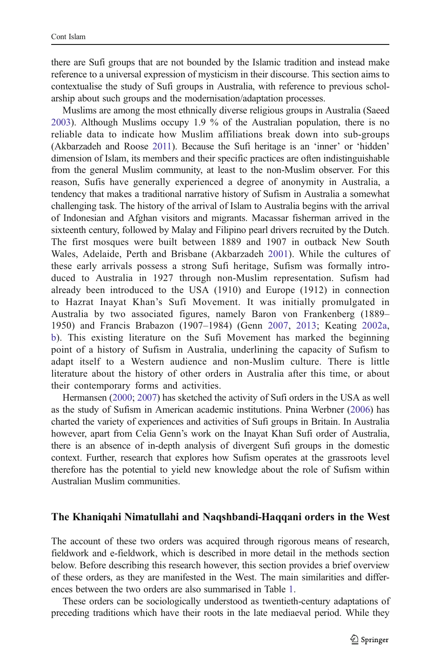there are Sufi groups that are not bounded by the Islamic tradition and instead make reference to a universal expression of mysticism in their discourse. This section aims to contextualise the study of Sufi groups in Australia, with reference to previous scholarship about such groups and the modernisation/adaptation processes.

Muslims are among the most ethnically diverse religious groups in Australia (Saeed [2003\)](#page-17-0). Although Muslims occupy 1.9 % of the Australian population, there is no reliable data to indicate how Muslim affiliations break down into sub-groups (Akbarzadeh and Roose [2011](#page-16-0)). Because the Sufi heritage is an 'inner' or 'hidden' dimension of Islam, its members and their specific practices are often indistinguishable from the general Muslim community, at least to the non-Muslim observer. For this reason, Sufis have generally experienced a degree of anonymity in Australia, a tendency that makes a traditional narrative history of Sufism in Australia a somewhat challenging task. The history of the arrival of Islam to Australia begins with the arrival of Indonesian and Afghan visitors and migrants. Macassar fisherman arrived in the sixteenth century, followed by Malay and Filipino pearl drivers recruited by the Dutch. The first mosques were built between 1889 and 1907 in outback New South Wales, Adelaide, Perth and Brisbane (Akbarzadeh [2001\)](#page-16-0). While the cultures of these early arrivals possess a strong Sufi heritage, Sufism was formally introduced to Australia in 1927 through non-Muslim representation. Sufism had already been introduced to the USA (1910) and Europe (1912) in connection to Hazrat Inayat Khan's Sufi Movement. It was initially promulgated in Australia by two associated figures, namely Baron von Frankenberg (1889– 1950) and Francis Brabazon (1907–1984) (Genn [2007](#page-17-0), [2013;](#page-17-0) Keating [2002a,](#page-17-0) [b](#page-17-0)). This existing literature on the Sufi Movement has marked the beginning point of a history of Sufism in Australia, underlining the capacity of Sufism to adapt itself to a Western audience and non-Muslim culture. There is little literature about the history of other orders in Australia after this time, or about their contemporary forms and activities.

Hermansen [\(2000;](#page-17-0) [2007](#page-17-0)) has sketched the activity of Sufi orders in the USA as well as the study of Sufism in American academic institutions. Pnina Werbner [\(2006\)](#page-18-0) has charted the variety of experiences and activities of Sufi groups in Britain. In Australia however, apart from Celia Genn's work on the Inayat Khan Sufi order of Australia, there is an absence of in-depth analysis of divergent Sufi groups in the domestic context. Further, research that explores how Sufism operates at the grassroots level therefore has the potential to yield new knowledge about the role of Sufism within Australian Muslim communities.

#### The Khaniqahi Nimatullahi and Naqshbandi-Haqqani orders in the West

The account of these two orders was acquired through rigorous means of research, fieldwork and e-fieldwork, which is described in more detail in the methods section below. Before describing this research however, this section provides a brief overview of these orders, as they are manifested in the West. The main similarities and differences between the two orders are also summarised in Table [1.](#page-3-0)

These orders can be sociologically understood as twentieth-century adaptations of preceding traditions which have their roots in the late mediaeval period. While they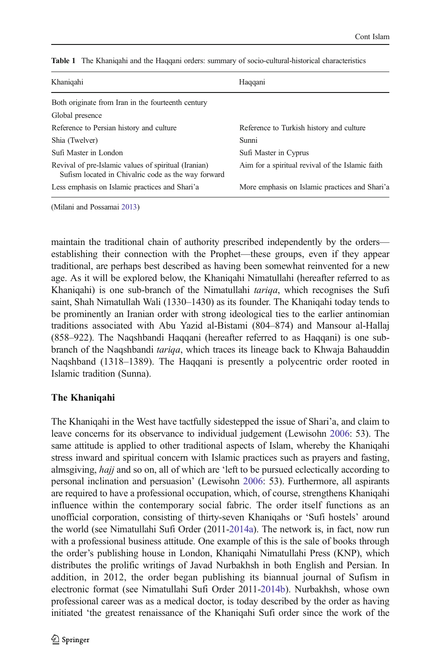| Khaniqahi                                                                                                   | Haqqani                                          |
|-------------------------------------------------------------------------------------------------------------|--------------------------------------------------|
|                                                                                                             |                                                  |
| Global presence                                                                                             |                                                  |
| Reference to Persian history and culture                                                                    | Reference to Turkish history and culture         |
| Shia (Twelver)                                                                                              | Sunni                                            |
| Sufi Master in London                                                                                       | Sufi Master in Cyprus                            |
| Revival of pre-Islamic values of spiritual (Iranian)<br>Sufism located in Chivalric code as the way forward | Aim for a spiritual revival of the Islamic faith |
| Less emphasis on Islamic practices and Shari'a                                                              | More emphasis on Islamic practices and Shari'a   |

<span id="page-3-0"></span>Table 1 The Khaniqahi and the Haqqani orders: summary of socio-cultural-historical characteristics

(Milani and Possamai [2013\)](#page-17-0)

maintain the traditional chain of authority prescribed independently by the orders establishing their connection with the Prophet—these groups, even if they appear traditional, are perhaps best described as having been somewhat reinvented for a new age. As it will be explored below, the Khaniqahi Nimatullahi (hereafter referred to as Khaniqahi) is one sub-branch of the Nimatullahi tariqa, which recognises the Sufi saint, Shah Nimatullah Wali (1330–1430) as its founder. The Khaniqahi today tends to be prominently an Iranian order with strong ideological ties to the earlier antinomian traditions associated with Abu Yazid al-Bistami (804–874) and Mansour al-Hallaj (858–922). The Naqshbandi Haqqani (hereafter referred to as Haqqani) is one subbranch of the Naqshbandi tariqa, which traces its lineage back to Khwaja Bahauddin Naqshband (1318–1389). The Haqqani is presently a polycentric order rooted in Islamic tradition (Sunna).

#### The Khaniqahi

The Khaniqahi in the West have tactfully sidestepped the issue of Shari'a, and claim to leave concerns for its observance to individual judgement (Lewisohn [2006](#page-17-0): 53). The same attitude is applied to other traditional aspects of Islam, whereby the Khaniqahi stress inward and spiritual concern with Islamic practices such as prayers and fasting, almsgiving, *hajj* and so on, all of which are 'left to be pursued eclectically according to personal inclination and persuasion' (Lewisohn [2006:](#page-17-0) 53). Furthermore, all aspirants are required to have a professional occupation, which, of course, strengthens Khaniqahi influence within the contemporary social fabric. The order itself functions as an unofficial corporation, consisting of thirty-seven Khaniqahs or 'Sufi hostels' around the world (see Nimatullahi Sufi Order (2011-[2014a](#page-17-0)). The network is, in fact, now run with a professional business attitude. One example of this is the sale of books through the order's publishing house in London, Khaniqahi Nimatullahi Press (KNP), which distributes the prolific writings of Javad Nurbakhsh in both English and Persian. In addition, in 2012, the order began publishing its biannual journal of Sufism in electronic format (see Nimatullahi Sufi Order 2011[-2014b](#page-17-0)). Nurbakhsh, whose own professional career was as a medical doctor, is today described by the order as having initiated 'the greatest renaissance of the Khaniqahi Sufi order since the work of the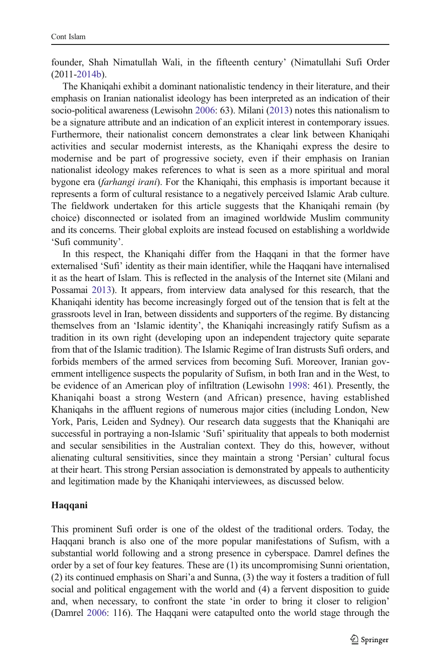founder, Shah Nimatullah Wali, in the fifteenth century' (Nimatullahi Sufi Order (2011-[2014b\)](#page-17-0).

The Khaniqahi exhibit a dominant nationalistic tendency in their literature, and their emphasis on Iranian nationalist ideology has been interpreted as an indication of their socio-political awareness (Lewisohn [2006](#page-17-0): 63). Milani ([2013](#page-17-0)) notes this nationalism to be a signature attribute and an indication of an explicit interest in contemporary issues. Furthermore, their nationalist concern demonstrates a clear link between Khaniqahi activities and secular modernist interests, as the Khaniqahi express the desire to modernise and be part of progressive society, even if their emphasis on Iranian nationalist ideology makes references to what is seen as a more spiritual and moral bygone era (farhangi irani). For the Khaniqahi, this emphasis is important because it represents a form of cultural resistance to a negatively perceived Islamic Arab culture. The fieldwork undertaken for this article suggests that the Khaniqahi remain (by choice) disconnected or isolated from an imagined worldwide Muslim community and its concerns. Their global exploits are instead focused on establishing a worldwide 'Sufi community'.

In this respect, the Khaniqahi differ from the Haqqani in that the former have externalised 'Sufi' identity as their main identifier, while the Haqqani have internalised it as the heart of Islam. This is reflected in the analysis of the Internet site (Milani and Possamai [2013](#page-17-0)). It appears, from interview data analysed for this research, that the Khaniqahi identity has become increasingly forged out of the tension that is felt at the grassroots level in Iran, between dissidents and supporters of the regime. By distancing themselves from an 'Islamic identity', the Khaniqahi increasingly ratify Sufism as a tradition in its own right (developing upon an independent trajectory quite separate from that of the Islamic tradition). The Islamic Regime of Iran distrusts Sufi orders, and forbids members of the armed services from becoming Sufi. Moreover, Iranian government intelligence suspects the popularity of Sufism, in both Iran and in the West, to be evidence of an American ploy of infiltration (Lewisohn [1998](#page-17-0): 461). Presently, the Khaniqahi boast a strong Western (and African) presence, having established Khaniqahs in the affluent regions of numerous major cities (including London, New York, Paris, Leiden and Sydney). Our research data suggests that the Khaniqahi are successful in portraying a non-Islamic 'Sufi' spirituality that appeals to both modernist and secular sensibilities in the Australian context. They do this, however, without alienating cultural sensitivities, since they maintain a strong 'Persian' cultural focus at their heart. This strong Persian association is demonstrated by appeals to authenticity and legitimation made by the Khaniqahi interviewees, as discussed below.

#### Haqqani

This prominent Sufi order is one of the oldest of the traditional orders. Today, the Haqqani branch is also one of the more popular manifestations of Sufism, with a substantial world following and a strong presence in cyberspace. Damrel defines the order by a set of four key features. These are (1) its uncompromising Sunni orientation, (2) its continued emphasis on Shari'a and Sunna, (3) the way it fosters a tradition of full social and political engagement with the world and (4) a fervent disposition to guide and, when necessary, to confront the state 'in order to bring it closer to religion' (Damrel [2006](#page-17-0): 116). The Haqqani were catapulted onto the world stage through the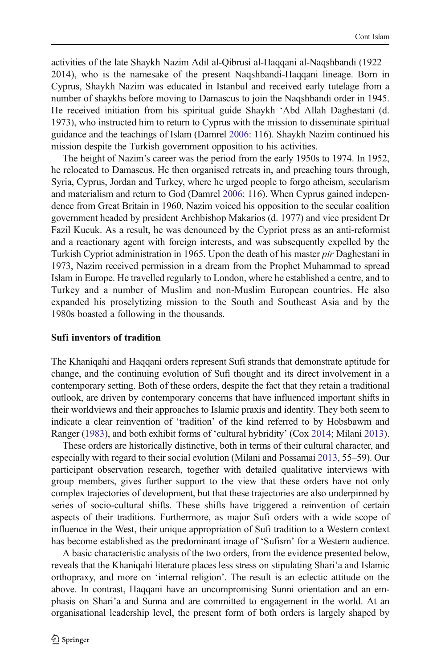activities of the late Shaykh Nazim Adil al-Qibrusi al-Haqqani al-Naqshbandi (1922 – 2014), who is the namesake of the present Naqshbandi-Haqqani lineage. Born in Cyprus, Shaykh Nazim was educated in Istanbul and received early tutelage from a number of shaykhs before moving to Damascus to join the Naqshbandi order in 1945. He received initiation from his spiritual guide Shaykh 'Abd Allah Daghestani (d. 1973), who instructed him to return to Cyprus with the mission to disseminate spiritual guidance and the teachings of Islam (Damrel [2006:](#page-17-0) 116). Shaykh Nazim continued his mission despite the Turkish government opposition to his activities.

The height of Nazim's career was the period from the early 1950s to 1974. In 1952, he relocated to Damascus. He then organised retreats in, and preaching tours through, Syria, Cyprus, Jordan and Turkey, where he urged people to forgo atheism, secularism and materialism and return to God (Damrel [2006:](#page-17-0) 116). When Cyprus gained independence from Great Britain in 1960, Nazim voiced his opposition to the secular coalition government headed by president Archbishop Makarios (d. 1977) and vice president Dr Fazil Kucuk. As a result, he was denounced by the Cypriot press as an anti-reformist and a reactionary agent with foreign interests, and was subsequently expelled by the Turkish Cypriot administration in 1965. Upon the death of his master pir Daghestani in 1973, Nazim received permission in a dream from the Prophet Muhammad to spread Islam in Europe. He travelled regularly to London, where he established a centre, and to Turkey and a number of Muslim and non-Muslim European countries. He also expanded his proselytizing mission to the South and Southeast Asia and by the 1980s boasted a following in the thousands.

#### Sufi inventors of tradition

The Khaniqahi and Haqqani orders represent Sufi strands that demonstrate aptitude for change, and the continuing evolution of Sufi thought and its direct involvement in a contemporary setting. Both of these orders, despite the fact that they retain a traditional outlook, are driven by contemporary concerns that have influenced important shifts in their worldviews and their approaches to Islamic praxis and identity. They both seem to indicate a clear reinvention of 'tradition' of the kind referred to by Hobsbawm and Ranger ([1983](#page-17-0)), and both exhibit forms of 'cultural hybridity' (Cox [2014](#page-17-0); Milani [2013\)](#page-17-0).

These orders are historically distinctive, both in terms of their cultural character, and especially with regard to their social evolution (Milani and Possamai [2013](#page-17-0), 55–59). Our participant observation research, together with detailed qualitative interviews with group members, gives further support to the view that these orders have not only complex trajectories of development, but that these trajectories are also underpinned by series of socio-cultural shifts. These shifts have triggered a reinvention of certain aspects of their traditions. Furthermore, as major Sufi orders with a wide scope of influence in the West, their unique appropriation of Sufi tradition to a Western context has become established as the predominant image of 'Sufism' for a Western audience.

A basic characteristic analysis of the two orders, from the evidence presented below, reveals that the Khaniqahi literature places less stress on stipulating Shari'a and Islamic orthopraxy, and more on 'internal religion'. The result is an eclectic attitude on the above. In contrast, Haqqani have an uncompromising Sunni orientation and an emphasis on Shari'a and Sunna and are committed to engagement in the world. At an organisational leadership level, the present form of both orders is largely shaped by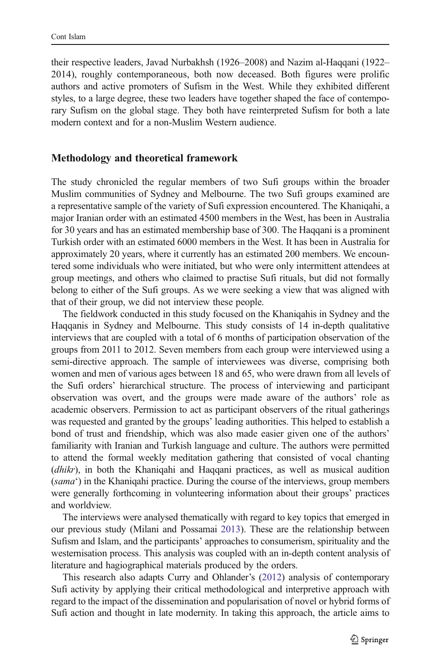their respective leaders, Javad Nurbakhsh (1926–2008) and Nazim al-Haqqani (1922– 2014), roughly contemporaneous, both now deceased. Both figures were prolific authors and active promoters of Sufism in the West. While they exhibited different styles, to a large degree, these two leaders have together shaped the face of contemporary Sufism on the global stage. They both have reinterpreted Sufism for both a late modern context and for a non-Muslim Western audience.

## Methodology and theoretical framework

The study chronicled the regular members of two Sufi groups within the broader Muslim communities of Sydney and Melbourne. The two Sufi groups examined are a representative sample of the variety of Sufi expression encountered. The Khaniqahi, a major Iranian order with an estimated 4500 members in the West, has been in Australia for 30 years and has an estimated membership base of 300. The Haqqani is a prominent Turkish order with an estimated 6000 members in the West. It has been in Australia for approximately 20 years, where it currently has an estimated 200 members. We encountered some individuals who were initiated, but who were only intermittent attendees at group meetings, and others who claimed to practise Sufi rituals, but did not formally belong to either of the Sufi groups. As we were seeking a view that was aligned with that of their group, we did not interview these people.

The fieldwork conducted in this study focused on the Khaniqahis in Sydney and the Haqqanis in Sydney and Melbourne. This study consists of 14 in-depth qualitative interviews that are coupled with a total of 6 months of participation observation of the groups from 2011 to 2012. Seven members from each group were interviewed using a semi-directive approach. The sample of interviewees was diverse, comprising both women and men of various ages between 18 and 65, who were drawn from all levels of the Sufi orders' hierarchical structure. The process of interviewing and participant observation was overt, and the groups were made aware of the authors' role as academic observers. Permission to act as participant observers of the ritual gatherings was requested and granted by the groups' leading authorities. This helped to establish a bond of trust and friendship, which was also made easier given one of the authors' familiarity with Iranian and Turkish language and culture. The authors were permitted to attend the formal weekly meditation gathering that consisted of vocal chanting (dhikr), in both the Khaniqahi and Haqqani practices, as well as musical audition (sama') in the Khaniqahi practice. During the course of the interviews, group members were generally forthcoming in volunteering information about their groups' practices and worldview.

The interviews were analysed thematically with regard to key topics that emerged in our previous study (Milani and Possamai [2013\)](#page-17-0). These are the relationship between Sufism and Islam, and the participants' approaches to consumerism, spirituality and the westernisation process. This analysis was coupled with an in-depth content analysis of literature and hagiographical materials produced by the orders.

This research also adapts Curry and Ohlander's [\(2012\)](#page-17-0) analysis of contemporary Sufi activity by applying their critical methodological and interpretive approach with regard to the impact of the dissemination and popularisation of novel or hybrid forms of Sufi action and thought in late modernity. In taking this approach, the article aims to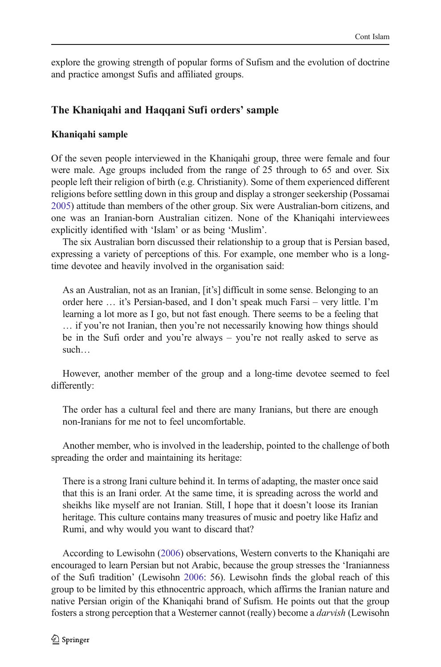explore the growing strength of popular forms of Sufism and the evolution of doctrine and practice amongst Sufis and affiliated groups.

# The Khaniqahi and Haqqani Sufi orders' sample

#### Khaniqahi sample

Of the seven people interviewed in the Khaniqahi group, three were female and four were male. Age groups included from the range of 25 through to 65 and over. Six people left their religion of birth (e.g. Christianity). Some of them experienced different religions before settling down in this group and display a stronger seekership (Possamai [2005\)](#page-17-0) attitude than members of the other group. Six were Australian-born citizens, and one was an Iranian-born Australian citizen. None of the Khaniqahi interviewees explicitly identified with 'Islam' or as being 'Muslim'.

The six Australian born discussed their relationship to a group that is Persian based, expressing a variety of perceptions of this. For example, one member who is a longtime devotee and heavily involved in the organisation said:

As an Australian, not as an Iranian, [it's] difficult in some sense. Belonging to an order here … it's Persian-based, and I don't speak much Farsi – very little. I'm learning a lot more as I go, but not fast enough. There seems to be a feeling that … if you're not Iranian, then you're not necessarily knowing how things should be in the Sufi order and you're always – you're not really asked to serve as such…

However, another member of the group and a long-time devotee seemed to feel differently:

The order has a cultural feel and there are many Iranians, but there are enough non-Iranians for me not to feel uncomfortable.

Another member, who is involved in the leadership, pointed to the challenge of both spreading the order and maintaining its heritage:

There is a strong Irani culture behind it. In terms of adapting, the master once said that this is an Irani order. At the same time, it is spreading across the world and sheikhs like myself are not Iranian. Still, I hope that it doesn't loose its Iranian heritage. This culture contains many treasures of music and poetry like Hafiz and Rumi, and why would you want to discard that?

According to Lewisohn [\(2006\)](#page-17-0) observations, Western converts to the Khaniqahi are encouraged to learn Persian but not Arabic, because the group stresses the 'Iranianness of the Sufi tradition' (Lewisohn [2006:](#page-17-0) 56). Lewisohn finds the global reach of this group to be limited by this ethnocentric approach, which affirms the Iranian nature and native Persian origin of the Khaniqahi brand of Sufism. He points out that the group fosters a strong perception that a Westerner cannot (really) become a darvish (Lewisohn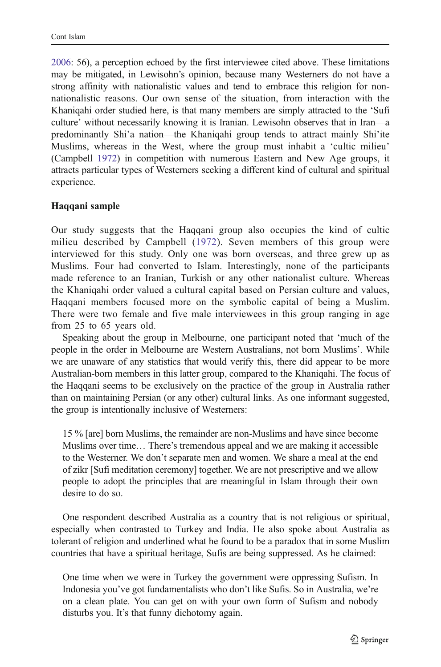[2006:](#page-17-0) 56), a perception echoed by the first interviewee cited above. These limitations may be mitigated, in Lewisohn's opinion, because many Westerners do not have a strong affinity with nationalistic values and tend to embrace this religion for nonnationalistic reasons. Our own sense of the situation, from interaction with the Khaniqahi order studied here, is that many members are simply attracted to the 'Sufi culture' without necessarily knowing it is Iranian. Lewisohn observes that in Iran—a predominantly Shi'a nation—the Khaniqahi group tends to attract mainly Shi'ite Muslims, whereas in the West, where the group must inhabit a 'cultic milieu' (Campbell [1972\)](#page-17-0) in competition with numerous Eastern and New Age groups, it attracts particular types of Westerners seeking a different kind of cultural and spiritual experience.

#### Haqqani sample

Our study suggests that the Haqqani group also occupies the kind of cultic milieu described by Campbell ([1972](#page-17-0)). Seven members of this group were interviewed for this study. Only one was born overseas, and three grew up as Muslims. Four had converted to Islam. Interestingly, none of the participants made reference to an Iranian, Turkish or any other nationalist culture. Whereas the Khaniqahi order valued a cultural capital based on Persian culture and values, Haqqani members focused more on the symbolic capital of being a Muslim. There were two female and five male interviewees in this group ranging in age from 25 to 65 years old.

Speaking about the group in Melbourne, one participant noted that 'much of the people in the order in Melbourne are Western Australians, not born Muslims'. While we are unaware of any statistics that would verify this, there did appear to be more Australian-born members in this latter group, compared to the Khaniqahi. The focus of the Haqqani seems to be exclusively on the practice of the group in Australia rather than on maintaining Persian (or any other) cultural links. As one informant suggested, the group is intentionally inclusive of Westerners:

15 % [are] born Muslims, the remainder are non-Muslims and have since become Muslims over time… There's tremendous appeal and we are making it accessible to the Westerner. We don't separate men and women. We share a meal at the end of zikr [Sufi meditation ceremony] together. We are not prescriptive and we allow people to adopt the principles that are meaningful in Islam through their own desire to do so.

One respondent described Australia as a country that is not religious or spiritual, especially when contrasted to Turkey and India. He also spoke about Australia as tolerant of religion and underlined what he found to be a paradox that in some Muslim countries that have a spiritual heritage, Sufis are being suppressed. As he claimed:

One time when we were in Turkey the government were oppressing Sufism. In Indonesia you've got fundamentalists who don't like Sufis. So in Australia, we're on a clean plate. You can get on with your own form of Sufism and nobody disturbs you. It's that funny dichotomy again.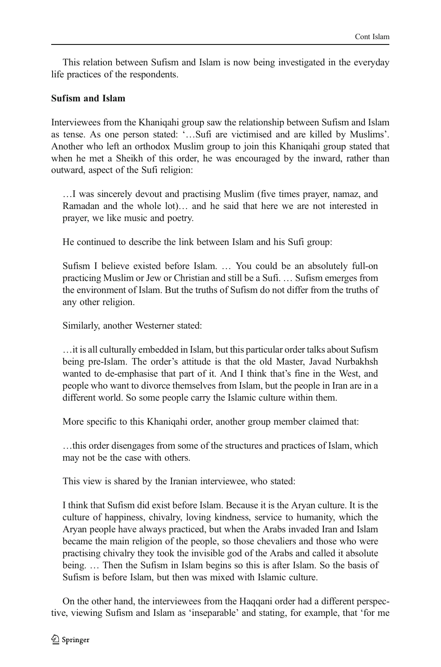This relation between Sufism and Islam is now being investigated in the everyday life practices of the respondents.

## Sufism and Islam

Interviewees from the Khaniqahi group saw the relationship between Sufism and Islam as tense. As one person stated: '…Sufi are victimised and are killed by Muslims'. Another who left an orthodox Muslim group to join this Khaniqahi group stated that when he met a Sheikh of this order, he was encouraged by the inward, rather than outward, aspect of the Sufi religion:

…I was sincerely devout and practising Muslim (five times prayer, namaz, and Ramadan and the whole lot)… and he said that here we are not interested in prayer, we like music and poetry.

He continued to describe the link between Islam and his Sufi group:

Sufism I believe existed before Islam. … You could be an absolutely full-on practicing Muslim or Jew or Christian and still be a Sufi. … Sufism emerges from the environment of Islam. But the truths of Sufism do not differ from the truths of any other religion.

Similarly, another Westerner stated:

…it is all culturally embedded in Islam, but this particular order talks about Sufism being pre-Islam. The order's attitude is that the old Master, Javad Nurbakhsh wanted to de-emphasise that part of it. And I think that's fine in the West, and people who want to divorce themselves from Islam, but the people in Iran are in a different world. So some people carry the Islamic culture within them.

More specific to this Khaniqahi order, another group member claimed that:

…this order disengages from some of the structures and practices of Islam, which may not be the case with others.

This view is shared by the Iranian interviewee, who stated:

I think that Sufism did exist before Islam. Because it is the Aryan culture. It is the culture of happiness, chivalry, loving kindness, service to humanity, which the Aryan people have always practiced, but when the Arabs invaded Iran and Islam became the main religion of the people, so those chevaliers and those who were practising chivalry they took the invisible god of the Arabs and called it absolute being. … Then the Sufism in Islam begins so this is after Islam. So the basis of Sufism is before Islam, but then was mixed with Islamic culture.

On the other hand, the interviewees from the Haqqani order had a different perspective, viewing Sufism and Islam as 'inseparable' and stating, for example, that 'for me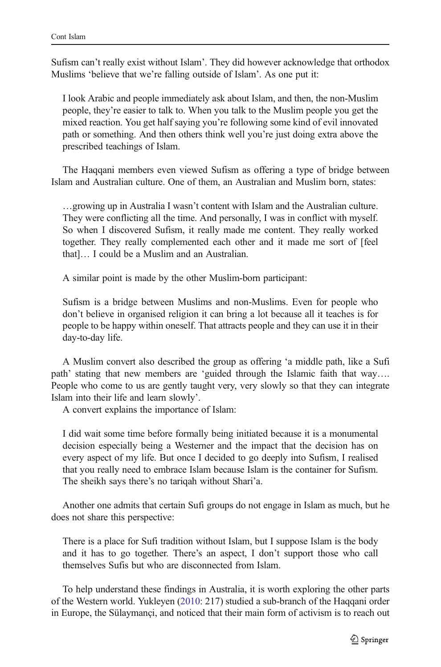Sufism can't really exist without Islam'. They did however acknowledge that orthodox Muslims 'believe that we're falling outside of Islam'. As one put it:

I look Arabic and people immediately ask about Islam, and then, the non-Muslim people, they're easier to talk to. When you talk to the Muslim people you get the mixed reaction. You get half saying you're following some kind of evil innovated path or something. And then others think well you're just doing extra above the prescribed teachings of Islam.

The Haqqani members even viewed Sufism as offering a type of bridge between Islam and Australian culture. One of them, an Australian and Muslim born, states:

…growing up in Australia I wasn't content with Islam and the Australian culture. They were conflicting all the time. And personally, I was in conflict with myself. So when I discovered Sufism, it really made me content. They really worked together. They really complemented each other and it made me sort of [feel that]… I could be a Muslim and an Australian.

A similar point is made by the other Muslim-born participant:

Sufism is a bridge between Muslims and non-Muslims. Even for people who don't believe in organised religion it can bring a lot because all it teaches is for people to be happy within oneself. That attracts people and they can use it in their day-to-day life.

A Muslim convert also described the group as offering 'a middle path, like a Sufi path' stating that new members are 'guided through the Islamic faith that way…. People who come to us are gently taught very, very slowly so that they can integrate Islam into their life and learn slowly'.

A convert explains the importance of Islam:

I did wait some time before formally being initiated because it is a monumental decision especially being a Westerner and the impact that the decision has on every aspect of my life. But once I decided to go deeply into Sufism, I realised that you really need to embrace Islam because Islam is the container for Sufism. The sheikh says there's no tariqah without Shari'a.

Another one admits that certain Sufi groups do not engage in Islam as much, but he does not share this perspective:

There is a place for Sufi tradition without Islam, but I suppose Islam is the body and it has to go together. There's an aspect, I don't support those who call themselves Sufis but who are disconnected from Islam.

To help understand these findings in Australia, it is worth exploring the other parts of the Western world. Yukleyen ([2010](#page-18-0): 217) studied a sub-branch of the Haqqani order in Europe, the Sülaymançi, and noticed that their main form of activism is to reach out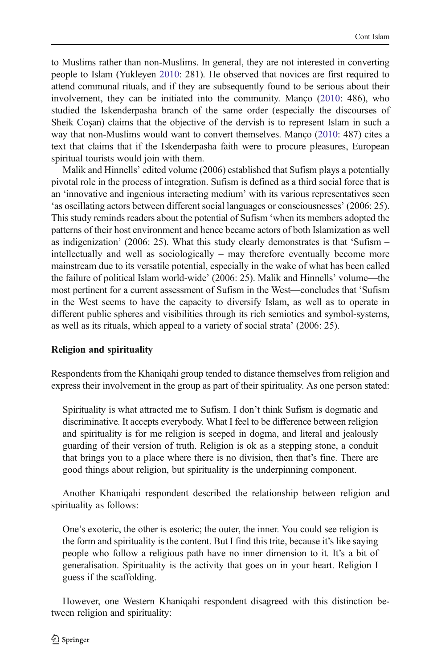to Muslims rather than non-Muslims. In general, they are not interested in converting people to Islam (Yukleyen [2010:](#page-18-0) 281). He observed that novices are first required to attend communal rituals, and if they are subsequently found to be serious about their involvement, they can be initiated into the community. Manço [\(2010](#page-17-0): 486), who studied the Iskenderpasha branch of the same order (especially the discourses of Sheik Coșan) claims that the objective of the dervish is to represent Islam in such a way that non-Muslims would want to convert themselves. Manço [\(2010:](#page-17-0) 487) cites a text that claims that if the Iskenderpasha faith were to procure pleasures, European spiritual tourists would join with them.

Malik and Hinnells' edited volume (2006) established that Sufism plays a potentially pivotal role in the process of integration. Sufism is defined as a third social force that is an 'innovative and ingenious interacting medium' with its various representatives seen 'as oscillating actors between different social languages or consciousnesses' (2006: 25). This study reminds readers about the potential of Sufism 'when its members adopted the patterns of their host environment and hence became actors of both Islamization as well as indigenization' (2006: 25). What this study clearly demonstrates is that 'Sufism – intellectually and well as sociologically – may therefore eventually become more mainstream due to its versatile potential, especially in the wake of what has been called the failure of political Islam world-wide' (2006: 25). Malik and Hinnells' volume—the most pertinent for a current assessment of Sufism in the West—concludes that 'Sufism in the West seems to have the capacity to diversify Islam, as well as to operate in different public spheres and visibilities through its rich semiotics and symbol-systems, as well as its rituals, which appeal to a variety of social strata' (2006: 25).

#### Religion and spirituality

Respondents from the Khaniqahi group tended to distance themselves from religion and express their involvement in the group as part of their spirituality. As one person stated:

Spirituality is what attracted me to Sufism. I don't think Sufism is dogmatic and discriminative. It accepts everybody. What I feel to be difference between religion and spirituality is for me religion is seeped in dogma, and literal and jealously guarding of their version of truth. Religion is ok as a stepping stone, a conduit that brings you to a place where there is no division, then that's fine. There are good things about religion, but spirituality is the underpinning component.

Another Khaniqahi respondent described the relationship between religion and spirituality as follows:

One's exoteric, the other is esoteric; the outer, the inner. You could see religion is the form and spirituality is the content. But I find this trite, because it's like saying people who follow a religious path have no inner dimension to it. It's a bit of generalisation. Spirituality is the activity that goes on in your heart. Religion I guess if the scaffolding.

However, one Western Khaniqahi respondent disagreed with this distinction between religion and spirituality: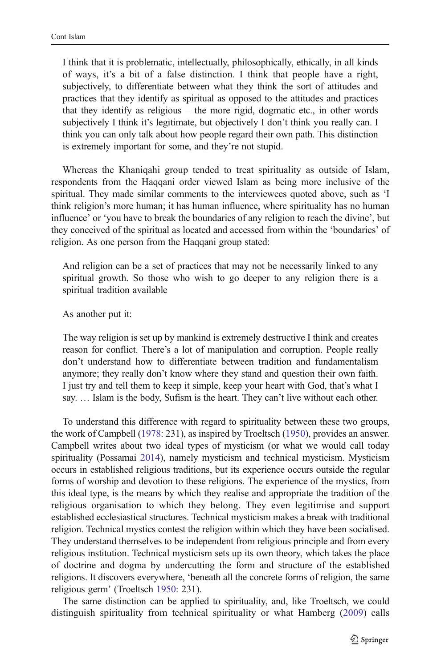I think that it is problematic, intellectually, philosophically, ethically, in all kinds of ways, it's a bit of a false distinction. I think that people have a right, subjectively, to differentiate between what they think the sort of attitudes and practices that they identify as spiritual as opposed to the attitudes and practices that they identify as religious – the more rigid, dogmatic etc., in other words subjectively I think it's legitimate, but objectively I don't think you really can. I think you can only talk about how people regard their own path. This distinction is extremely important for some, and they're not stupid.

Whereas the Khaniqahi group tended to treat spirituality as outside of Islam, respondents from the Haqqani order viewed Islam as being more inclusive of the spiritual. They made similar comments to the interviewees quoted above, such as 'I think religion's more human; it has human influence, where spirituality has no human influence' or 'you have to break the boundaries of any religion to reach the divine', but they conceived of the spiritual as located and accessed from within the 'boundaries' of religion. As one person from the Haqqani group stated:

And religion can be a set of practices that may not be necessarily linked to any spiritual growth. So those who wish to go deeper to any religion there is a spiritual tradition available

#### As another put it:

The way religion is set up by mankind is extremely destructive I think and creates reason for conflict. There's a lot of manipulation and corruption. People really don't understand how to differentiate between tradition and fundamentalism anymore; they really don't know where they stand and question their own faith. I just try and tell them to keep it simple, keep your heart with God, that's what I say. … Islam is the body, Sufism is the heart. They can't live without each other.

To understand this difference with regard to spirituality between these two groups, the work of Campbell ([1978](#page-17-0): 231), as inspired by Troeltsch ([1950](#page-18-0)), provides an answer. Campbell writes about two ideal types of mysticism (or what we would call today spirituality (Possamai [2014\)](#page-17-0), namely mysticism and technical mysticism. Mysticism occurs in established religious traditions, but its experience occurs outside the regular forms of worship and devotion to these religions. The experience of the mystics, from this ideal type, is the means by which they realise and appropriate the tradition of the religious organisation to which they belong. They even legitimise and support established ecclesiastical structures. Technical mysticism makes a break with traditional religion. Technical mystics contest the religion within which they have been socialised. They understand themselves to be independent from religious principle and from every religious institution. Technical mysticism sets up its own theory, which takes the place of doctrine and dogma by undercutting the form and structure of the established religions. It discovers everywhere, 'beneath all the concrete forms of religion, the same religious germ' (Troeltsch [1950](#page-18-0): 231).

The same distinction can be applied to spirituality, and, like Troeltsch, we could distinguish spirituality from technical spirituality or what Hamberg [\(2009](#page-17-0)) calls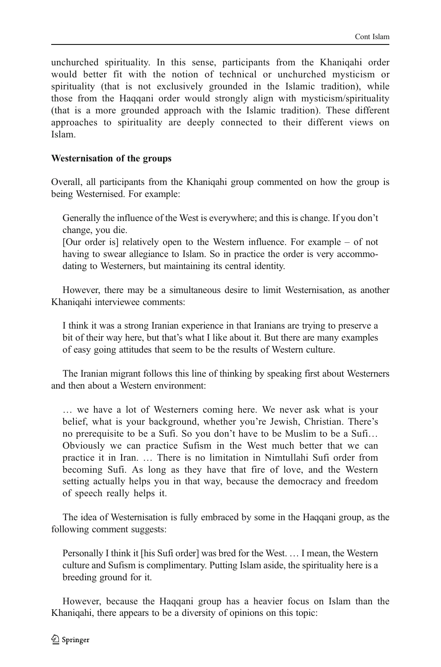unchurched spirituality. In this sense, participants from the Khaniqahi order would better fit with the notion of technical or unchurched mysticism or spirituality (that is not exclusively grounded in the Islamic tradition), while those from the Haqqani order would strongly align with mysticism/spirituality (that is a more grounded approach with the Islamic tradition). These different approaches to spirituality are deeply connected to their different views on Islam.

#### Westernisation of the groups

Overall, all participants from the Khaniqahi group commented on how the group is being Westernised. For example:

Generally the influence of the West is everywhere; and this is change. If you don't change, you die.

[Our order is] relatively open to the Western influence. For example – of not having to swear allegiance to Islam. So in practice the order is very accommodating to Westerners, but maintaining its central identity.

However, there may be a simultaneous desire to limit Westernisation, as another Khaniqahi interviewee comments:

I think it was a strong Iranian experience in that Iranians are trying to preserve a bit of their way here, but that's what I like about it. But there are many examples of easy going attitudes that seem to be the results of Western culture.

The Iranian migrant follows this line of thinking by speaking first about Westerners and then about a Western environment:

… we have a lot of Westerners coming here. We never ask what is your belief, what is your background, whether you're Jewish, Christian. There's no prerequisite to be a Sufi. So you don't have to be Muslim to be a Sufi… Obviously we can practice Sufism in the West much better that we can practice it in Iran. … There is no limitation in Nimtullahi Sufi order from becoming Sufi. As long as they have that fire of love, and the Western setting actually helps you in that way, because the democracy and freedom of speech really helps it.

The idea of Westernisation is fully embraced by some in the Haqqani group, as the following comment suggests:

Personally I think it [his Sufi order] was bred for the West. … I mean, the Western culture and Sufism is complimentary. Putting Islam aside, the spirituality here is a breeding ground for it.

However, because the Haqqani group has a heavier focus on Islam than the Khaniqahi, there appears to be a diversity of opinions on this topic: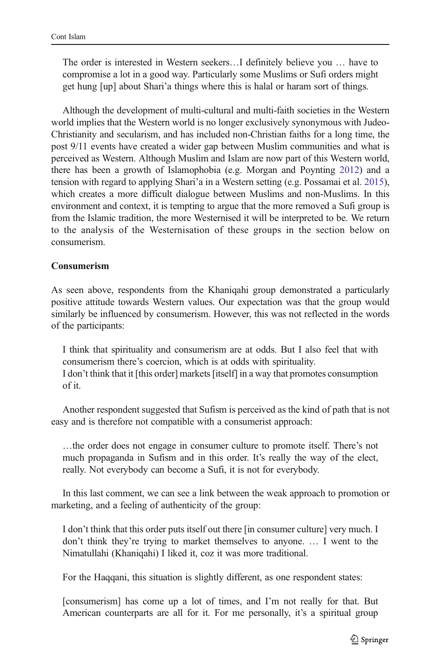The order is interested in Western seekers…I definitely believe you … have to compromise a lot in a good way. Particularly some Muslims or Sufi orders might get hung [up] about Shari'a things where this is halal or haram sort of things.

Although the development of multi-cultural and multi-faith societies in the Western world implies that the Western world is no longer exclusively synonymous with Judeo-Christianity and secularism, and has included non-Christian faiths for a long time, the post 9/11 events have created a wider gap between Muslim communities and what is perceived as Western. Although Muslim and Islam are now part of this Western world, there has been a growth of Islamophobia (e.g. Morgan and Poynting [2012](#page-17-0)) and a tension with regard to applying Shari'a in a Western setting (e.g. Possamai et al. [2015\)](#page-17-0), which creates a more difficult dialogue between Muslims and non-Muslims. In this environment and context, it is tempting to argue that the more removed a Sufi group is from the Islamic tradition, the more Westernised it will be interpreted to be. We return to the analysis of the Westernisation of these groups in the section below on consumerism.

## Consumerism

As seen above, respondents from the Khaniqahi group demonstrated a particularly positive attitude towards Western values. Our expectation was that the group would similarly be influenced by consumerism. However, this was not reflected in the words of the participants:

I think that spirituality and consumerism are at odds. But I also feel that with consumerism there's coercion, which is at odds with spirituality. I don't think that it [this order] markets [itself] in a way that promotes consumption of it.

Another respondent suggested that Sufism is perceived as the kind of path that is not easy and is therefore not compatible with a consumerist approach:

…the order does not engage in consumer culture to promote itself. There's not much propaganda in Sufism and in this order. It's really the way of the elect, really. Not everybody can become a Sufi, it is not for everybody.

In this last comment, we can see a link between the weak approach to promotion or marketing, and a feeling of authenticity of the group:

I don't think that this order puts itself out there [in consumer culture] very much. I don't think they're trying to market themselves to anyone. … I went to the Nimatullahi (Khaniqahi) I liked it, coz it was more traditional.

For the Haqqani, this situation is slightly different, as one respondent states:

[consumerism] has come up a lot of times, and I'm not really for that. But American counterparts are all for it. For me personally, it's a spiritual group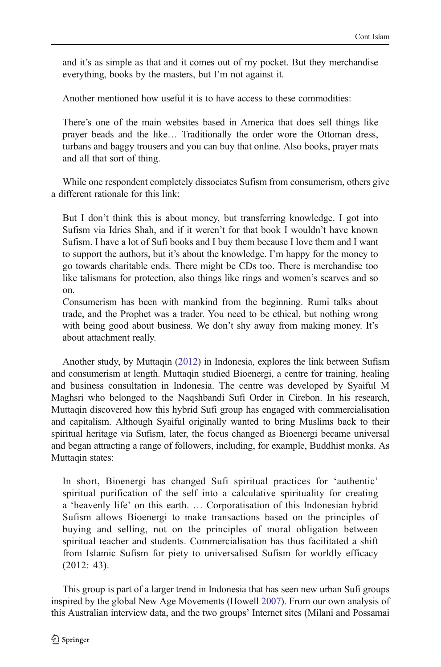and it's as simple as that and it comes out of my pocket. But they merchandise everything, books by the masters, but I'm not against it.

Another mentioned how useful it is to have access to these commodities:

There's one of the main websites based in America that does sell things like prayer beads and the like… Traditionally the order wore the Ottoman dress, turbans and baggy trousers and you can buy that online. Also books, prayer mats and all that sort of thing.

While one respondent completely dissociates Sufism from consumerism, others give a different rationale for this link:

But I don't think this is about money, but transferring knowledge. I got into Sufism via Idries Shah, and if it weren't for that book I wouldn't have known Sufism. I have a lot of Sufi books and I buy them because I love them and I want to support the authors, but it's about the knowledge. I'm happy for the money to go towards charitable ends. There might be CDs too. There is merchandise too like talismans for protection, also things like rings and women's scarves and so on.

Consumerism has been with mankind from the beginning. Rumi talks about trade, and the Prophet was a trader. You need to be ethical, but nothing wrong with being good about business. We don't shy away from making money. It's about attachment really.

Another study, by Muttaqin ([2012](#page-17-0)) in Indonesia, explores the link between Sufism and consumerism at length. Muttaqin studied Bioenergi, a centre for training, healing and business consultation in Indonesia. The centre was developed by Syaiful M Maghsri who belonged to the Naqshbandi Sufi Order in Cirebon. In his research, Muttaqin discovered how this hybrid Sufi group has engaged with commercialisation and capitalism. Although Syaiful originally wanted to bring Muslims back to their spiritual heritage via Sufism, later, the focus changed as Bioenergi became universal and began attracting a range of followers, including, for example, Buddhist monks. As Muttaqin states:

In short, Bioenergi has changed Sufi spiritual practices for 'authentic' spiritual purification of the self into a calculative spirituality for creating a 'heavenly life' on this earth. … Corporatisation of this Indonesian hybrid Sufism allows Bioenergi to make transactions based on the principles of buying and selling, not on the principles of moral obligation between spiritual teacher and students. Commercialisation has thus facilitated a shift from Islamic Sufism for piety to universalised Sufism for worldly efficacy (2012: 43).

This group is part of a larger trend in Indonesia that has seen new urban Sufi groups inspired by the global New Age Movements (Howell [2007](#page-17-0)). From our own analysis of this Australian interview data, and the two groups' Internet sites (Milani and Possamai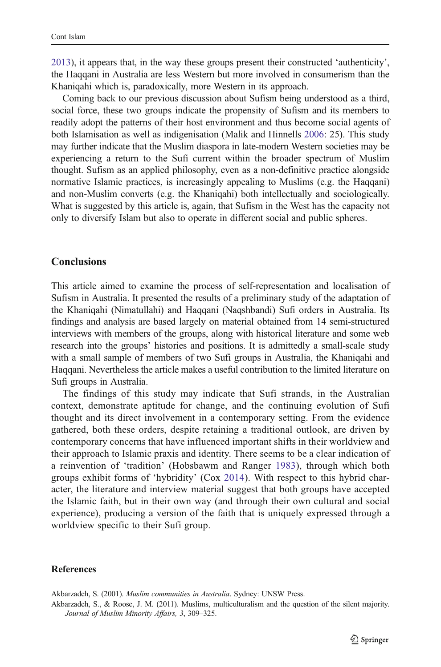<span id="page-16-0"></span>[2013\)](#page-17-0), it appears that, in the way these groups present their constructed 'authenticity', the Haqqani in Australia are less Western but more involved in consumerism than the Khaniqahi which is, paradoxically, more Western in its approach.

Coming back to our previous discussion about Sufism being understood as a third, social force, these two groups indicate the propensity of Sufism and its members to readily adopt the patterns of their host environment and thus become social agents of both Islamisation as well as indigenisation (Malik and Hinnells [2006:](#page-17-0) 25). This study may further indicate that the Muslim diaspora in late-modern Western societies may be experiencing a return to the Sufi current within the broader spectrum of Muslim thought. Sufism as an applied philosophy, even as a non-definitive practice alongside normative Islamic practices, is increasingly appealing to Muslims (e.g. the Haqqani) and non-Muslim converts (e.g. the Khaniqahi) both intellectually and sociologically. What is suggested by this article is, again, that Sufism in the West has the capacity not only to diversify Islam but also to operate in different social and public spheres.

#### **Conclusions**

This article aimed to examine the process of self-representation and localisation of Sufism in Australia. It presented the results of a preliminary study of the adaptation of the Khaniqahi (Nimatullahi) and Haqqani (Naqshbandi) Sufi orders in Australia. Its findings and analysis are based largely on material obtained from 14 semi-structured interviews with members of the groups, along with historical literature and some web research into the groups' histories and positions. It is admittedly a small-scale study with a small sample of members of two Sufi groups in Australia, the Khaniqahi and Haqqani. Nevertheless the article makes a useful contribution to the limited literature on Sufi groups in Australia.

The findings of this study may indicate that Sufi strands, in the Australian context, demonstrate aptitude for change, and the continuing evolution of Sufi thought and its direct involvement in a contemporary setting. From the evidence gathered, both these orders, despite retaining a traditional outlook, are driven by contemporary concerns that have influenced important shifts in their worldview and their approach to Islamic praxis and identity. There seems to be a clear indication of a reinvention of 'tradition' (Hobsbawm and Ranger [1983](#page-17-0)), through which both groups exhibit forms of 'hybridity' (Cox [2014\)](#page-17-0). With respect to this hybrid character, the literature and interview material suggest that both groups have accepted the Islamic faith, but in their own way (and through their own cultural and social experience), producing a version of the faith that is uniquely expressed through a worldview specific to their Sufi group.

#### References

Akbarzadeh, S. (2001). Muslim communities in Australia. Sydney: UNSW Press.

Akbarzadeh, S., & Roose, J. M. (2011). Muslims, multiculturalism and the question of the silent majority. Journal of Muslim Minority Affairs, 3, 309–325.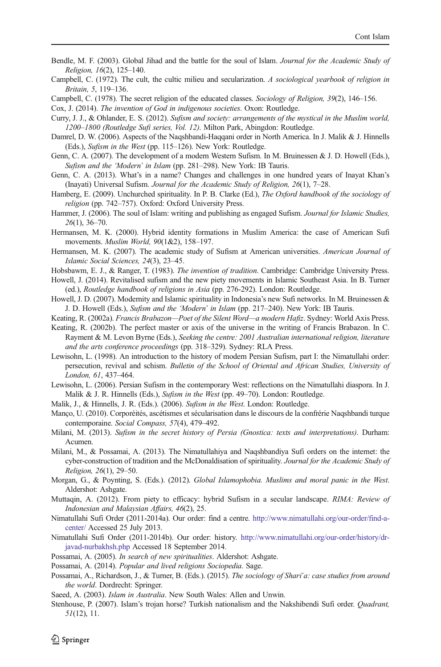- <span id="page-17-0"></span>Bendle, M. F. (2003). Global Jihad and the battle for the soul of Islam. Journal for the Academic Study of Religion, 16(2), 125–140.
- Campbell, C. (1972). The cult, the cultic milieu and secularization. A sociological yearbook of religion in Britain, 5, 119–136.
- Campbell, C. (1978). The secret religion of the educated classes. Sociology of Religion, 39(2), 146–156.

Cox, J. (2014). The invention of God in indigenous societies. Oxon: Routledge.

- Curry, J. J., & Ohlander, E. S. (2012). Sufism and society: arrangements of the mystical in the Muslim world, 1200–1800 (Routledge Sufi series, Vol. 12). Milton Park, Abingdon: Routledge.
- Damrel, D. W. (2006). Aspects of the Naqshbandi-Haqqani order in North America. In J. Malik & J. Hinnells (Eds.), Sufism in the West (pp. 115–126). New York: Routledge.
- Genn, C. A. (2007). The development of a modern Western Sufism. In M. Bruinessen & J. D. Howell (Eds.), Sufism and the 'Modern' in Islam (pp. 281–298). New York: IB Tauris.
- Genn, C. A. (2013). What's in a name? Changes and challenges in one hundred years of Inayat Khan's (Inayati) Universal Sufism. Journal for the Academic Study of Religion, 26(1), 7–28.
- Hamberg, E. (2009). Unchurched spirituality. In P. B. Clarke (Ed.), The Oxford handbook of the sociology of religion (pp. 742–757). Oxford: Oxford University Press.
- Hammer, J. (2006). The soul of Islam: writing and publishing as engaged Sufism. Journal for Islamic Studies, 26(1), 36–70.
- Hermansen, M. K. (2000). Hybrid identity formations in Muslim America: the case of American Sufi movements. Muslim World, 90(1&2), 158–197.
- Hermansen, M. K. (2007). The academic study of Sufism at American universities. American Journal of Islamic Social Sciences, 24(3), 23–45.
- Hobsbawm, E. J., & Ranger, T. (1983). *The invention of tradition*. Cambridge: Cambridge University Press.
- Howell, J. (2014). Revitalised sufism and the new piety movements in Islamic Southeast Asia. In B. Turner (ed.), Routledge handbook of religions in Asia (pp. 276-292). London: Routledge.
- Howell, J. D. (2007). Modernity and Islamic spirituality in Indonesia's new Sufi networks. In M. Bruinessen & J. D. Howell (Eds.), Sufism and the 'Modern' in Islam (pp. 217–240). New York: IB Tauris.

Keating, R. (2002a). Francis Brabazon—Poet of the Silent Word—a modern Hafiz. Sydney: World Axis Press.

- Keating, R. (2002b). The perfect master or axis of the universe in the writing of Francis Brabazon. In C. Rayment & M. Levon Byrne (Eds.), Seeking the centre: 2001 Australian international religion, literature and the arts conference proceedings (pp. 318–329). Sydney: RLA Press.
- Lewisohn, L. (1998). An introduction to the history of modern Persian Sufism, part I: the Nimatullahi order: persecution, revival and schism. Bulletin of the School of Oriental and African Studies, University of London, 61, 437–464.
- Lewisohn, L. (2006). Persian Sufism in the contemporary West: reflections on the Nimatullahi diaspora. In J. Malik & J. R. Hinnells (Eds.), Sufism in the West (pp. 49–70). London: Routledge.
- Malik, J., & Hinnells, J. R. (Eds.). (2006). Sufism in the West. London: Routledge.
- Manço, U. (2010). Corporéités, ascétismes et sécularisation dans le discours de la confrérie Naqshbandi turque contemporaine. Social Compass, 57(4), 479–492.
- Milani, M. (2013). Sufism in the secret history of Persia (Gnostica: texts and interpretations). Durham: Acumen.
- Milani, M., & Possamai, A. (2013). The Nimatullahiya and Naqshbandiya Sufi orders on the internet: the cyber-construction of tradition and the McDonaldisation of spirituality. Journal for the Academic Study of Religion, 26(1), 29–50.
- Morgan, G., & Poynting, S. (Eds.). (2012). Global Islamophobia. Muslims and moral panic in the West. Aldershot: Ashgate.
- Muttaqin, A. (2012). From piety to efficacy: hybrid Sufism in a secular landscape. RIMA: Review of Indonesian and Malaysian Affairs, 46(2), 25.
- Nimatullahi Sufi Order (2011-2014a). Our order: find a centre. [http://www.nimatullahi.org/our-order/find-a](http://www.nimatullahi.org/our-order/find-a-center/)[center/](http://www.nimatullahi.org/our-order/find-a-center/) Accessed 25 July 2013.
- Nimatullahi Sufi Order (2011-2014b). Our order: history. [http://www.nimatullahi.org/our-order/history/dr](http://www.nimatullahi.org/our-order/history/dr-javad-nurbakhsh.php)[javad-nurbakhsh.php](http://www.nimatullahi.org/our-order/history/dr-javad-nurbakhsh.php) Accessed 18 September 2014.
- Possamai, A. (2005). In search of new spiritualities. Aldershot: Ashgate.
- Possamai, A. (2014). Popular and lived religions Sociopedia. Sage.
- Possamai, A., Richardson, J., & Turner, B. (Eds.). (2015). The sociology of Shari'a: case studies from around the world. Dordrecht: Springer.
- Saeed, A. (2003). Islam in Australia. New South Wales: Allen and Unwin.
- Stenhouse, P. (2007). Islam's trojan horse? Turkish nationalism and the Nakshibendi Sufi order. Quadrant, 51(12), 11.